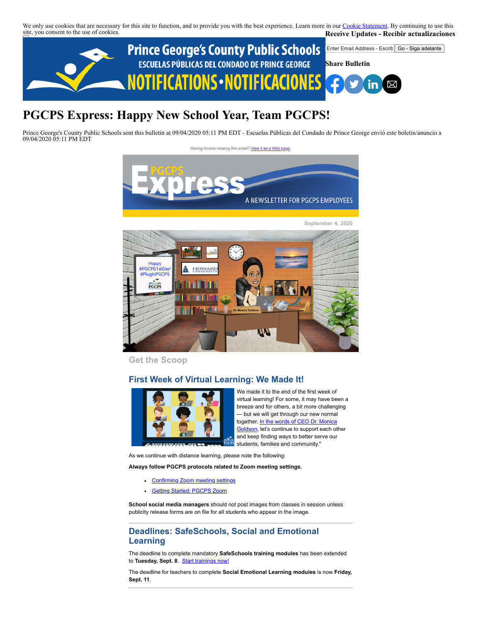We only use cookies that are necessary for this site to function, and to provide you with the best experience. Learn more in our [Cookie Statement.](https://subscriberhelp.granicus.com/s/article/Cookies) By continuing to use this site, you consent to the use of cookies. **Receive Updates - Recibir actualizaciones**



# **PGCPS Express: Happy New School Year, Team PGCPS!**

Prince George's County Public Schools sent this bulletin at 09/04/2020 05:11 PM EDT - Escuelas Públicas del Condado de Prince George envió este boletín/anuncio a 09/04/2020 05:11 PM EDT

Having trouble viewing this email? [View it as a Web page](https://content.govdelivery.com/accounts/PGCPS/bulletins/29cfd7f)



**September 4, 2020**



**Get the Scoop**

# **First Week of Virtual Learning: We Made It!**



We made it to the end of the first week of virtual learning! For some, it may have been a breeze and for others, a bit more challenging — but we will get through our new normal [together. In the words of CEO Dr. Monica](https://www.youtube.com/watch?v=iCUPWL6ajXs) Goldson, let's continue to support each other and keep finding ways to better serve our students, families and community."

As we continue with distance learning, please note the following:

**Always follow PGCPS protocols related to Zoom meeting settings.**

- [Confirming Zoom meeting settings](https://drive.google.com/file/d/1ZN1Ihf2qAMQEQXFqGNqv1z4tN9l88Ddx/view)
- [Getting Started: PGCPS Zoom](https://docs.google.com/presentation/d/1vBbG1ieAQp7oaefW2OgvO1hxIWz26kwT9vfn9cRld04/present?rm=minimal&slide=id.g8fb3586953_0_0)  $\bullet$

**School social media managers** should not post images from classes in session unless publicity release forms are on file for all students who appear in the image.

# **Deadlines: SafeSchools, Social and Emotional Learning**

The deadline to complete mandatory **SafeSchools training modules** has been extended to Tuesday, Sept. 8. **[Start trainings now!](https://pgcps-md.safeschools.com/login)** 

The deadline for teachers to complete **Social Emotional Learning modules** is now **Friday, Sept. 11**.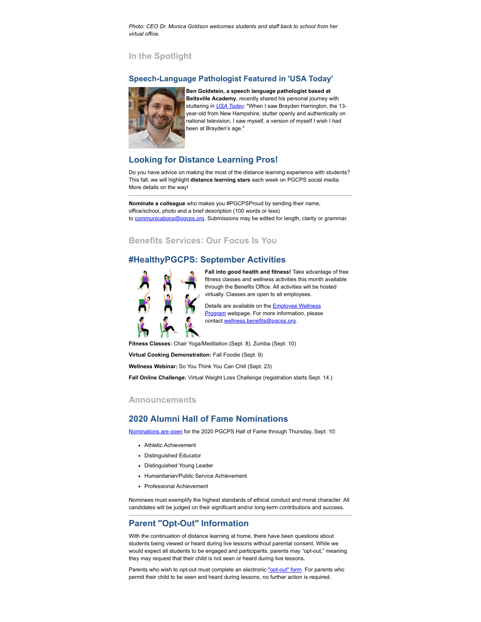*Photo: CEO Dr. Monica Goldson welcomes students and staff back to school from her virtual office.*

## **In the Spotlight**

#### **Speech-Language Pathologist Featured in 'USA Today'**



**Ben Goldstein, a speech language pathologist based at Beltsville Academy**, recently shared his personal journey with stuttering in *[USA Today](https://www.usatoday.com/story/opinion/voices/2020/08/27/brayden-harrington-stutter-dnc-overcome-fear-column/3443929001/):* "When I saw Brayden Harrington, the 13 year-old from New Hampshire, stutter openly and authentically on national television, I saw myself, a version of myself I wish I had been at Brayden's age."

# **Looking for Distance Learning Pros!**

Do you have advice on making the most of the distance learning experience with students? This fall, we will highlight **distance learning stars** each week on PGCPS social media. More details on the way!

**Nominate a colleague** who makes you #PGCPSProud by sending their name, office/school, photo and a brief description (100 words or less) to [communications@pgcps.org](mailto:communications@pgcps.org). Submissions may be edited for length, clarity or grammar.

# **Benefits Services: Our Focus Is You**

## **#HealthyPGCPS: September Activities**



**Fall into good health and fitness!** Take advantage of free fitness classes and wellness activities this month available through the Benefits Office. All activities will be hosted virtually. Classes are open to all employees.

Details are available on the **Employee Wellness** Program webpage. For more information, please contact [wellness.benefits@pgcps.org](mailto:wellness.benefits@pgcps.org).

**Fitness Classes:** Chair Yoga/Meditation (Sept. 8), Zumba (Sept. 10)

**Virtual Cooking Demonstration:** Fall Foodie (Sept. 9)

**Wellness Webinar:** So You Think You Can Chill (Sept. 23)

**Fall Online Challenge:** Virtual Weight Loss Challenge (registration starts Sept. 14.)

#### **Announcements**

# **2020 Alumni Hall of Fame Nominations**

[Nominations are open](https://www1.pgcps.org/alumni/) for the 2020 PGCPS Hall of Fame through Thursday, Sept. 10:

- Athletic Achievement
- Distinguished Educator
- Distinguished Young Leader
- Humanitarian/Public Service Achievement
- Professional Achievement

Nominees must exemplify the highest standards of ethical conduct and moral character. All candidates will be judged on their significant and/or long-term contributions and success.

# **Parent "Opt-Out" Information**

With the continuation of distance learning at home, there have been questions about students being viewed or heard during live lessons without parental consent. While we would expect all students to be engaged and participants, parents may "opt-out," meaning they may request that their child is not seen or heard during live lessons.

Parents who wish to opt-out must complete an electronic ["opt-out" form](https://lnks.gd/l/eyJhbGciOiJIUzI1NiJ9.eyJidWxsZXRpbl9saW5rX2lkIjoxMDksInVyaSI6ImJwMjpjbGljayIsImJ1bGxldGluX2lkIjoiMjAyMDA4MjguMjYyNzEwNDEiLCJ1cmwiOiJodHRwczovL2RvY3MuZ29vZ2xlLmNvbS9mb3Jtcy91LzEvZC8xZXV4RzkzQ2U1YnpJZmFpWFJUSGVNOGttenQ1RlFNTFJNQkdMV3V4eXppTS90ZW1wbGF0ZS9wcmV2aWV3P3VycD1nbWFpbF9saW5rIn0.ilK7cGNVa8LmMsN7Tt3UQn1MSgUqRxMuf5PHzprqcng/s/899539505/br/82960749178-l). For parents who permit their child to be seen and heard during lessons, no further action is required.